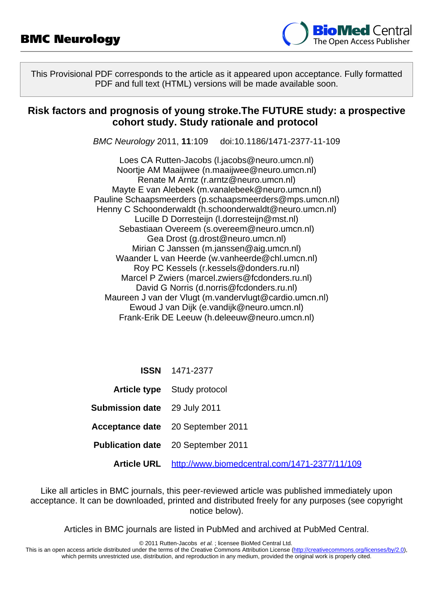

This Provisional PDF corresponds to the article as it appeared upon acceptance. Fully formatted PDF and full text (HTML) versions will be made available soon.

### **Risk factors and prognosis of young stroke.The FUTURE study: a prospective cohort study. Study rationale and protocol**

BMC Neurology 2011, **11**:109 doi:10.1186/1471-2377-11-109

Loes CA Rutten-Jacobs [\(l.jacobs@neuro.umcn.nl](mailto:l.jacobs@neuro.umcn.nl)) Noortje AM Maaijwee ([n.maaijwee@neuro.umcn.nl\)](mailto:n.maaijwee@neuro.umcn.nl) Renate M Arntz ([r.arntz@neuro.umcn.nl](mailto:r.arntz@neuro.umcn.nl)) Mayte E van Alebeek ([m.vanalebeek@neuro.umcn.nl](mailto:m.vanalebeek@neuro.umcn.nl)) Pauline Schaapsmeerders ([p.schaapsmeerders@mps.umcn.nl](mailto:p.schaapsmeerders@mps.umcn.nl)) Henny C Schoonderwaldt [\(h.schoonderwaldt@neuro.umcn.nl](mailto:h.schoonderwaldt@neuro.umcn.nl)) Lucille D Dorresteijn ([l.dorresteijn@mst.nl](mailto:l.dorresteijn@mst.nl)) Sebastiaan Overeem ([s.overeem@neuro.umcn.nl\)](mailto:s.overeem@neuro.umcn.nl) Gea Drost [\(g.drost@neuro.umcn.nl](mailto:g.drost@neuro.umcn.nl)) Mirian C Janssen ([m.janssen@aig.umcn.nl\)](mailto:m.janssen@aig.umcn.nl) Waander L van Heerde ([w.vanheerde@chl.umcn.nl](mailto:w.vanheerde@chl.umcn.nl)) Roy PC Kessels ([r.kessels@donders.ru.nl](mailto:r.kessels@donders.ru.nl)) Marcel P Zwiers ([marcel.zwiers@fcdonders.ru.nl\)](mailto:marcel.zwiers@fcdonders.ru.nl) David G Norris ([d.norris@fcdonders.ru.nl](mailto:d.norris@fcdonders.ru.nl)) Maureen J van der Vlugt ([m.vandervlugt@cardio.umcn.nl](mailto:m.vandervlugt@cardio.umcn.nl)) Ewoud J van Dijk ([e.vandijk@neuro.umcn.nl](mailto:e.vandijk@neuro.umcn.nl)) Frank-Erik DE Leeuw ([h.deleeuw@neuro.umcn.nl\)](mailto:h.deleeuw@neuro.umcn.nl)

|  | <b>ISSN</b> | 1471-2377 |
|--|-------------|-----------|
|--|-------------|-----------|

- **Article type** Study protocol
- **Submission date** 29 July 2011
- **Acceptance date** 20 September 2011
- **Publication date** 20 September 2011
	- **Article URL** <http://www.biomedcentral.com/1471-2377/11/109>

Like all articles in BMC journals, this peer-reviewed article was published immediately upon acceptance. It can be downloaded, printed and distributed freely for any purposes (see copyright notice below).

Articles in BMC journals are listed in PubMed and archived at PubMed Central.

© 2011 Rutten-Jacobs et al. ; licensee BioMed Central Ltd.

This is an open access article distributed under the terms of the Creative Commons Attribution License [\(http://creativecommons.org/licenses/by/2.0](http://creativecommons.org/licenses/by/2.0)), which permits unrestricted use, distribution, and reproduction in any medium, provided the original work is properly cited.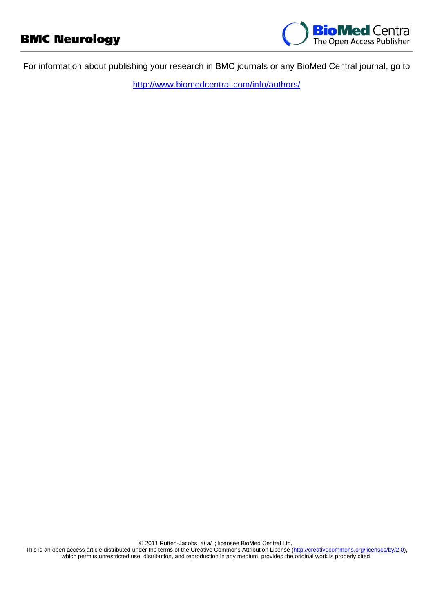

For information about publishing your research in BMC journals or any BioMed Central journal, go to

<http://www.biomedcentral.com/info/authors/>

© 2011 Rutten-Jacobs et al. ; licensee BioMed Central Ltd.

This is an open access article distributed under the terms of the Creative Commons Attribution License [\(http://creativecommons.org/licenses/by/2.0](http://creativecommons.org/licenses/by/2.0)), which permits unrestricted use, distribution, and reproduction in any medium, provided the original work is properly cited.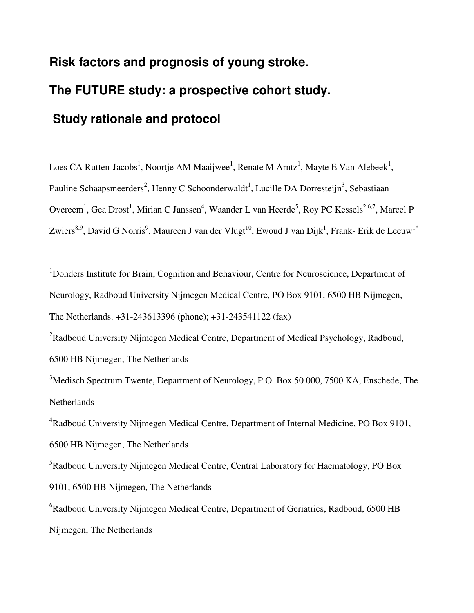# **Risk factors and prognosis of young stroke. The FUTURE study: a prospective cohort study. Study rationale and protocol**

Loes CA Rutten-Jacobs<sup>1</sup>, Noortje AM Maaijwee<sup>1</sup>, Renate M Arntz<sup>1</sup>, Mayte E Van Alebeek<sup>1</sup>, Pauline Schaapsmeerders<sup>2</sup>, Henny C Schoonderwaldt<sup>1</sup>, Lucille DA Dorresteijn<sup>3</sup>, Sebastiaan Overeem<sup>1</sup>, Gea Drost<sup>1</sup>, Mirian C Janssen<sup>4</sup>, Waander L van Heerde<sup>5</sup>, Roy PC Kessels<sup>2,6,7</sup>, Marcel P Zwiers $^{8,9}$ , David G Norris $^9$ , Maureen J van der Vlugt $^{10}$ , Ewoud J van Dijk $^1$ , Frank- Erik de Leeuw $^{1*}$ 

<sup>1</sup>Donders Institute for Brain, Cognition and Behaviour, Centre for Neuroscience, Department of Neurology, Radboud University Nijmegen Medical Centre, PO Box 9101, 6500 HB Nijmegen, The Netherlands. +31-243613396 (phone); +31-243541122 (fax)

<sup>2</sup>Radboud University Nijmegen Medical Centre, Department of Medical Psychology, Radboud, 6500 HB Nijmegen, The Netherlands

<sup>3</sup>Medisch Spectrum Twente, Department of Neurology, P.O. Box 50 000, 7500 KA, Enschede, The Netherlands

<sup>4</sup>Radboud University Nijmegen Medical Centre, Department of Internal Medicine, PO Box 9101, 6500 HB Nijmegen, The Netherlands

<sup>5</sup>Radboud University Nijmegen Medical Centre, Central Laboratory for Haematology, PO Box 9101, 6500 HB Nijmegen, The Netherlands

<sup>6</sup>Radboud University Nijmegen Medical Centre, Department of Geriatrics, Radboud, 6500 HB Nijmegen, The Netherlands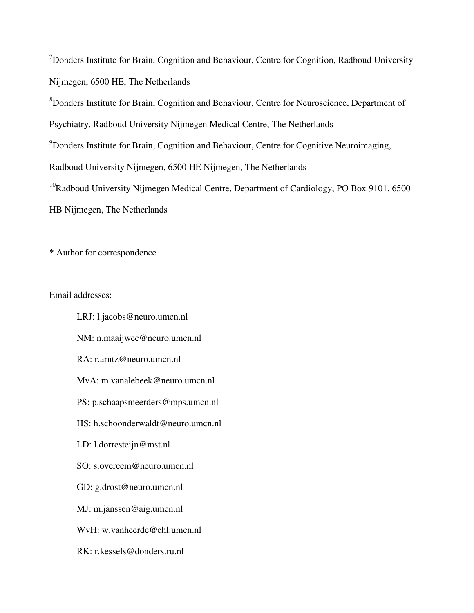<sup>7</sup>Donders Institute for Brain, Cognition and Behaviour, Centre for Cognition, Radboud University Nijmegen, 6500 HE, The Netherlands

<sup>8</sup>Donders Institute for Brain, Cognition and Behaviour, Centre for Neuroscience, Department of

Psychiatry, Radboud University Nijmegen Medical Centre, The Netherlands

<sup>9</sup>Donders Institute for Brain, Cognition and Behaviour, Centre for Cognitive Neuroimaging,

Radboud University Nijmegen, 6500 HE Nijmegen, The Netherlands

 $10R$ adboud University Nijmegen Medical Centre, Department of Cardiology, PO Box 9101, 6500

HB Nijmegen, The Netherlands

\* Author for correspondence

Email addresses:

LRJ: l.jacobs@neuro.umcn.nl NM: n.maaijwee@neuro.umcn.nl RA: r.arntz@neuro.umcn.nl MvA: m.vanalebeek@neuro.umcn.nl PS: p.schaapsmeerders@mps.umcn.nl HS: h.schoonderwaldt@neuro.umcn.nl LD: l.dorresteijn@mst.nl SO: s.overeem@neuro.umcn.nl GD: g.drost@neuro.umcn.nl MJ: m.janssen@aig.umcn.nl WvH: w.vanheerde@chl.umcn.nl RK: r.kessels@donders.ru.nl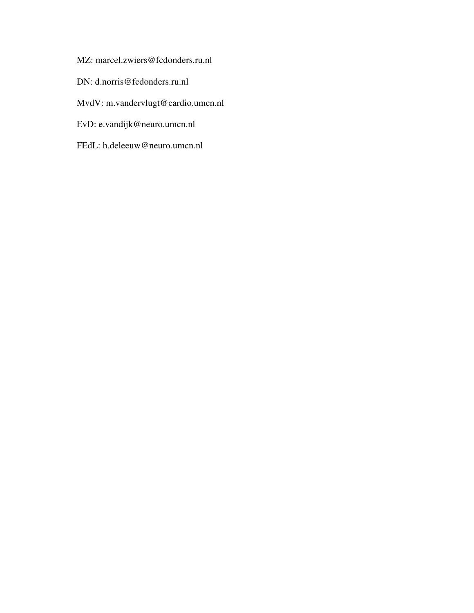- MZ: marcel.zwiers@fcdonders.ru.nl
- DN: d.norris@fcdonders.ru.nl
- MvdV: m.vandervlugt@cardio.umcn.nl
- EvD: e.vandijk@neuro.umcn.nl
- FEdL: h.deleeuw@neuro.umcn.nl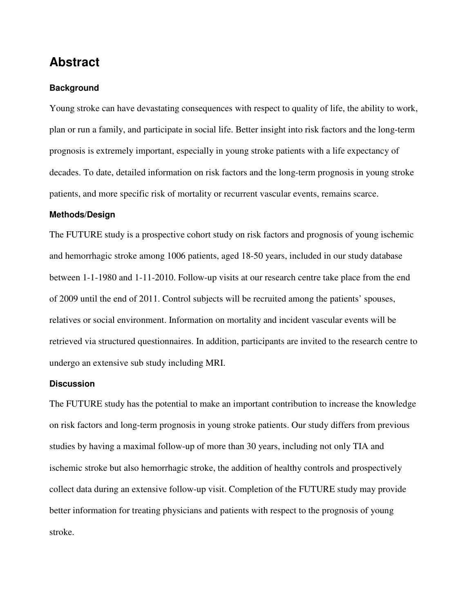## **Abstract**

#### **Background**

Young stroke can have devastating consequences with respect to quality of life, the ability to work, plan or run a family, and participate in social life. Better insight into risk factors and the long-term prognosis is extremely important, especially in young stroke patients with a life expectancy of decades. To date, detailed information on risk factors and the long-term prognosis in young stroke patients, and more specific risk of mortality or recurrent vascular events, remains scarce.

#### **Methods/Design**

The FUTURE study is a prospective cohort study on risk factors and prognosis of young ischemic and hemorrhagic stroke among 1006 patients, aged 18-50 years, included in our study database between 1-1-1980 and 1-11-2010. Follow-up visits at our research centre take place from the end of 2009 until the end of 2011. Control subjects will be recruited among the patients' spouses, relatives or social environment. Information on mortality and incident vascular events will be retrieved via structured questionnaires. In addition, participants are invited to the research centre to undergo an extensive sub study including MRI.

#### **Discussion**

The FUTURE study has the potential to make an important contribution to increase the knowledge on risk factors and long-term prognosis in young stroke patients. Our study differs from previous studies by having a maximal follow-up of more than 30 years, including not only TIA and ischemic stroke but also hemorrhagic stroke, the addition of healthy controls and prospectively collect data during an extensive follow-up visit. Completion of the FUTURE study may provide better information for treating physicians and patients with respect to the prognosis of young stroke.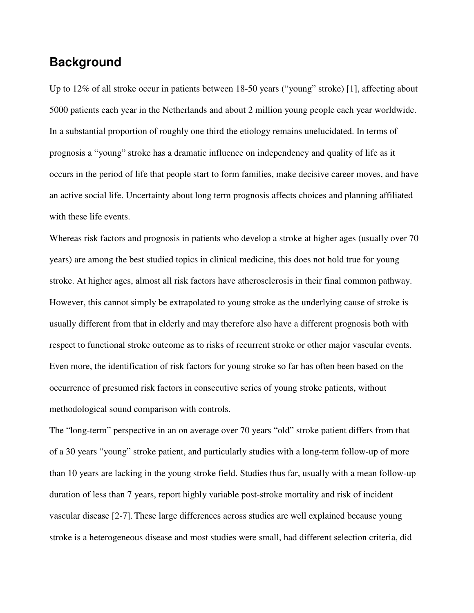## **Background**

Up to 12% of all stroke occur in patients between 18-50 years ("young" stroke) [1], affecting about 5000 patients each year in the Netherlands and about 2 million young people each year worldwide. In a substantial proportion of roughly one third the etiology remains unelucidated. In terms of prognosis a "young" stroke has a dramatic influence on independency and quality of life as it occurs in the period of life that people start to form families, make decisive career moves, and have an active social life. Uncertainty about long term prognosis affects choices and planning affiliated with these life events.

Whereas risk factors and prognosis in patients who develop a stroke at higher ages (usually over 70 years) are among the best studied topics in clinical medicine, this does not hold true for young stroke. At higher ages, almost all risk factors have atherosclerosis in their final common pathway. However, this cannot simply be extrapolated to young stroke as the underlying cause of stroke is usually different from that in elderly and may therefore also have a different prognosis both with respect to functional stroke outcome as to risks of recurrent stroke or other major vascular events. Even more, the identification of risk factors for young stroke so far has often been based on the occurrence of presumed risk factors in consecutive series of young stroke patients, without methodological sound comparison with controls.

The "long-term" perspective in an on average over 70 years "old" stroke patient differs from that of a 30 years "young" stroke patient, and particularly studies with a long-term follow-up of more than 10 years are lacking in the young stroke field. Studies thus far, usually with a mean follow-up duration of less than 7 years, report highly variable post-stroke mortality and risk of incident vascular disease [2-7]. These large differences across studies are well explained because young stroke is a heterogeneous disease and most studies were small, had different selection criteria, did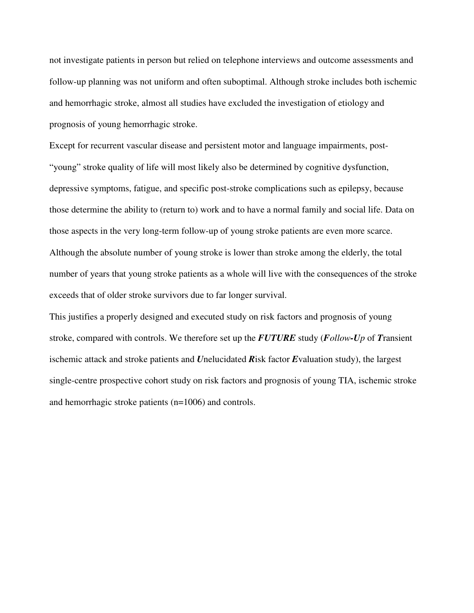not investigate patients in person but relied on telephone interviews and outcome assessments and follow-up planning was not uniform and often suboptimal. Although stroke includes both ischemic and hemorrhagic stroke, almost all studies have excluded the investigation of etiology and prognosis of young hemorrhagic stroke.

Except for recurrent vascular disease and persistent motor and language impairments, post- "young" stroke quality of life will most likely also be determined by cognitive dysfunction, depressive symptoms, fatigue, and specific post-stroke complications such as epilepsy, because those determine the ability to (return to) work and to have a normal family and social life. Data on those aspects in the very long-term follow-up of young stroke patients are even more scarce. Although the absolute number of young stroke is lower than stroke among the elderly, the total number of years that young stroke patients as a whole will live with the consequences of the stroke exceeds that of older stroke survivors due to far longer survival.

This justifies a properly designed and executed study on risk factors and prognosis of young stroke, compared with controls. We therefore set up the *FUTURE* study (*Follow-Up* of *T*ransient ischemic attack and stroke patients and *U*nelucidated *R*isk factor *E*valuation study), the largest single-centre prospective cohort study on risk factors and prognosis of young TIA, ischemic stroke and hemorrhagic stroke patients (n=1006) and controls.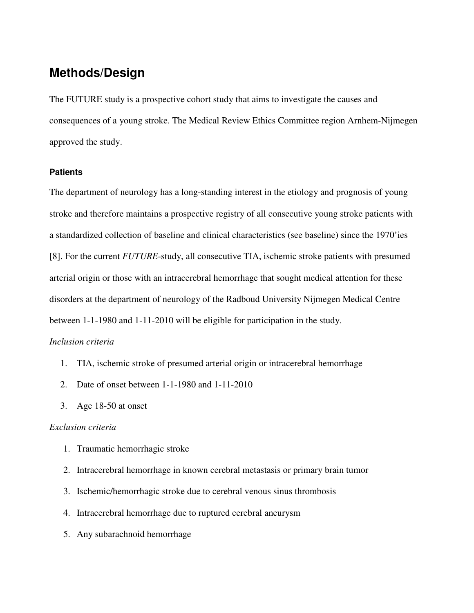# **Methods/Design**

The FUTURE study is a prospective cohort study that aims to investigate the causes and consequences of a young stroke. The Medical Review Ethics Committee region Arnhem-Nijmegen approved the study.

#### **Patients**

The department of neurology has a long-standing interest in the etiology and prognosis of young stroke and therefore maintains a prospective registry of all consecutive young stroke patients with a standardized collection of baseline and clinical characteristics (see baseline) since the 1970'ies [8]. For the current *FUTURE*-study, all consecutive TIA, ischemic stroke patients with presumed arterial origin or those with an intracerebral hemorrhage that sought medical attention for these disorders at the department of neurology of the Radboud University Nijmegen Medical Centre between 1-1-1980 and 1-11-2010 will be eligible for participation in the study.

#### *Inclusion criteria*

- 1. TIA, ischemic stroke of presumed arterial origin or intracerebral hemorrhage
- 2. Date of onset between 1-1-1980 and 1-11-2010
- 3. Age 18-50 at onset

#### *Exclusion criteria*

- 1. Traumatic hemorrhagic stroke
- 2. Intracerebral hemorrhage in known cerebral metastasis or primary brain tumor
- 3. Ischemic/hemorrhagic stroke due to cerebral venous sinus thrombosis
- 4. Intracerebral hemorrhage due to ruptured cerebral aneurysm
- 5. Any subarachnoid hemorrhage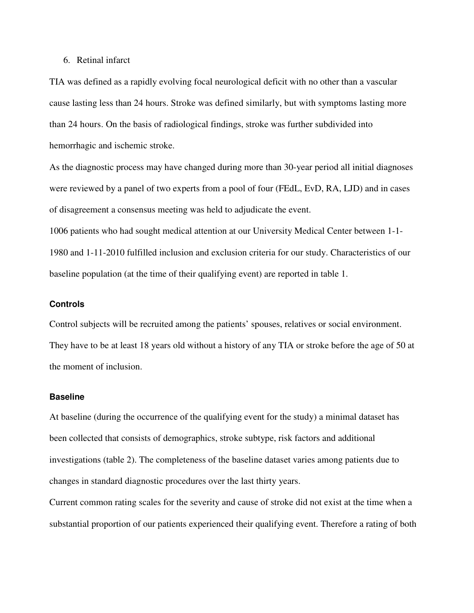#### 6. Retinal infarct

TIA was defined as a rapidly evolving focal neurological deficit with no other than a vascular cause lasting less than 24 hours. Stroke was defined similarly, but with symptoms lasting more than 24 hours. On the basis of radiological findings, stroke was further subdivided into hemorrhagic and ischemic stroke.

As the diagnostic process may have changed during more than 30-year period all initial diagnoses were reviewed by a panel of two experts from a pool of four (FEdL, EvD, RA, LJD) and in cases of disagreement a consensus meeting was held to adjudicate the event.

1006 patients who had sought medical attention at our University Medical Center between 1-1- 1980 and 1-11-2010 fulfilled inclusion and exclusion criteria for our study. Characteristics of our baseline population (at the time of their qualifying event) are reported in table 1.

#### **Controls**

Control subjects will be recruited among the patients' spouses, relatives or social environment. They have to be at least 18 years old without a history of any TIA or stroke before the age of 50 at the moment of inclusion.

#### **Baseline**

At baseline (during the occurrence of the qualifying event for the study) a minimal dataset has been collected that consists of demographics, stroke subtype, risk factors and additional investigations (table 2). The completeness of the baseline dataset varies among patients due to changes in standard diagnostic procedures over the last thirty years.

Current common rating scales for the severity and cause of stroke did not exist at the time when a substantial proportion of our patients experienced their qualifying event. Therefore a rating of both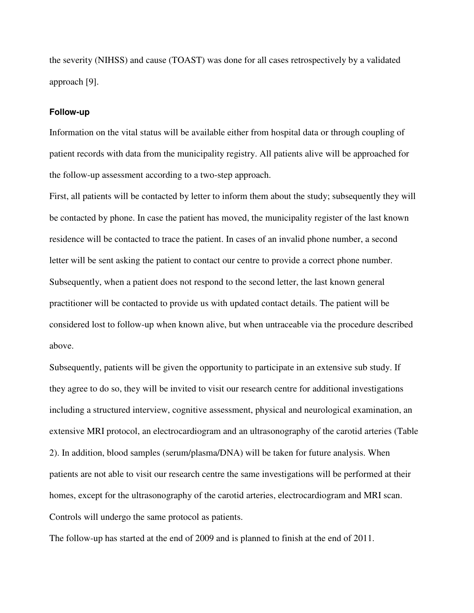the severity (NIHSS) and cause (TOAST) was done for all cases retrospectively by a validated approach [9].

#### **Follow-up**

Information on the vital status will be available either from hospital data or through coupling of patient records with data from the municipality registry. All patients alive will be approached for the follow-up assessment according to a two-step approach.

First, all patients will be contacted by letter to inform them about the study; subsequently they will be contacted by phone. In case the patient has moved, the municipality register of the last known residence will be contacted to trace the patient. In cases of an invalid phone number, a second letter will be sent asking the patient to contact our centre to provide a correct phone number. Subsequently, when a patient does not respond to the second letter, the last known general practitioner will be contacted to provide us with updated contact details. The patient will be considered lost to follow-up when known alive, but when untraceable via the procedure described above.

Subsequently, patients will be given the opportunity to participate in an extensive sub study. If they agree to do so, they will be invited to visit our research centre for additional investigations including a structured interview, cognitive assessment, physical and neurological examination, an extensive MRI protocol, an electrocardiogram and an ultrasonography of the carotid arteries (Table 2). In addition, blood samples (serum/plasma/DNA) will be taken for future analysis. When patients are not able to visit our research centre the same investigations will be performed at their homes, except for the ultrasonography of the carotid arteries, electrocardiogram and MRI scan. Controls will undergo the same protocol as patients.

The follow-up has started at the end of 2009 and is planned to finish at the end of 2011.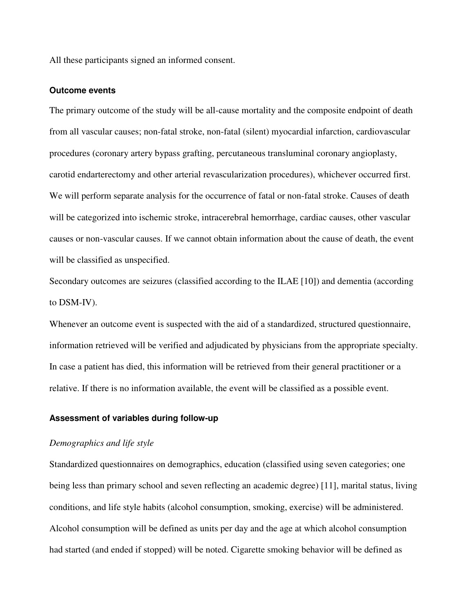All these participants signed an informed consent.

#### **Outcome events**

The primary outcome of the study will be all-cause mortality and the composite endpoint of death from all vascular causes; non-fatal stroke, non-fatal (silent) myocardial infarction, cardiovascular procedures (coronary artery bypass grafting, percutaneous transluminal coronary angioplasty, carotid endarterectomy and other arterial revascularization procedures), whichever occurred first. We will perform separate analysis for the occurrence of fatal or non-fatal stroke. Causes of death will be categorized into ischemic stroke, intracerebral hemorrhage, cardiac causes, other vascular causes or non-vascular causes. If we cannot obtain information about the cause of death, the event will be classified as unspecified.

Secondary outcomes are seizures (classified according to the ILAE [10]) and dementia (according to DSM-IV).

Whenever an outcome event is suspected with the aid of a standardized, structured questionnaire, information retrieved will be verified and adjudicated by physicians from the appropriate specialty. In case a patient has died, this information will be retrieved from their general practitioner or a relative. If there is no information available, the event will be classified as a possible event.

#### **Assessment of variables during follow-up**

#### *Demographics and life style*

Standardized questionnaires on demographics, education (classified using seven categories; one being less than primary school and seven reflecting an academic degree) [11], marital status, living conditions, and life style habits (alcohol consumption, smoking, exercise) will be administered. Alcohol consumption will be defined as units per day and the age at which alcohol consumption had started (and ended if stopped) will be noted. Cigarette smoking behavior will be defined as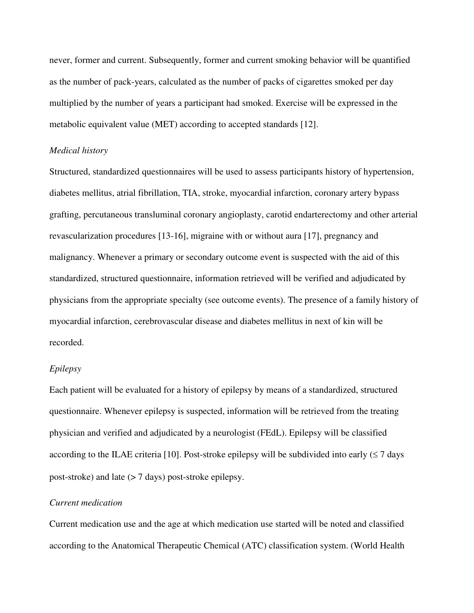never, former and current. Subsequently, former and current smoking behavior will be quantified as the number of pack-years, calculated as the number of packs of cigarettes smoked per day multiplied by the number of years a participant had smoked. Exercise will be expressed in the metabolic equivalent value (MET) according to accepted standards [12].

#### *Medical history*

Structured, standardized questionnaires will be used to assess participants history of hypertension, diabetes mellitus, atrial fibrillation, TIA, stroke, myocardial infarction, coronary artery bypass grafting, percutaneous transluminal coronary angioplasty, carotid endarterectomy and other arterial revascularization procedures [13-16], migraine with or without aura [17], pregnancy and malignancy. Whenever a primary or secondary outcome event is suspected with the aid of this standardized, structured questionnaire, information retrieved will be verified and adjudicated by physicians from the appropriate specialty (see outcome events). The presence of a family history of myocardial infarction, cerebrovascular disease and diabetes mellitus in next of kin will be recorded.

#### *Epilepsy*

Each patient will be evaluated for a history of epilepsy by means of a standardized, structured questionnaire. Whenever epilepsy is suspected, information will be retrieved from the treating physician and verified and adjudicated by a neurologist (FEdL). Epilepsy will be classified according to the ILAE criteria [10]. Post-stroke epilepsy will be subdivided into early  $(\leq 7 \text{ days})$ post-stroke) and late (> 7 days) post-stroke epilepsy.

#### *Current medication*

Current medication use and the age at which medication use started will be noted and classified according to the Anatomical Therapeutic Chemical (ATC) classification system. (World Health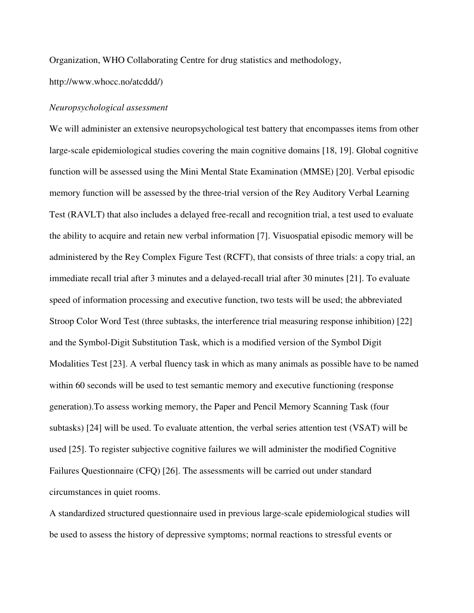Organization, WHO Collaborating Centre for drug statistics and methodology,

http://www.whocc.no/atcddd/)

#### *Neuropsychological assessment*

We will administer an extensive neuropsychological test battery that encompasses items from other large-scale epidemiological studies covering the main cognitive domains [18, 19]. Global cognitive function will be assessed using the Mini Mental State Examination (MMSE) [20]. Verbal episodic memory function will be assessed by the three-trial version of the Rey Auditory Verbal Learning Test (RAVLT) that also includes a delayed free-recall and recognition trial, a test used to evaluate the ability to acquire and retain new verbal information [7]. Visuospatial episodic memory will be administered by the Rey Complex Figure Test (RCFT), that consists of three trials: a copy trial, an immediate recall trial after 3 minutes and a delayed-recall trial after 30 minutes [21]. To evaluate speed of information processing and executive function, two tests will be used; the abbreviated Stroop Color Word Test (three subtasks, the interference trial measuring response inhibition) [22] and the Symbol-Digit Substitution Task, which is a modified version of the Symbol Digit Modalities Test [23]. A verbal fluency task in which as many animals as possible have to be named within 60 seconds will be used to test semantic memory and executive functioning (response generation).To assess working memory, the Paper and Pencil Memory Scanning Task (four subtasks) [24] will be used. To evaluate attention, the verbal series attention test (VSAT) will be used [25]. To register subjective cognitive failures we will administer the modified Cognitive Failures Questionnaire (CFQ) [26]. The assessments will be carried out under standard circumstances in quiet rooms.

A standardized structured questionnaire used in previous large-scale epidemiological studies will be used to assess the history of depressive symptoms; normal reactions to stressful events or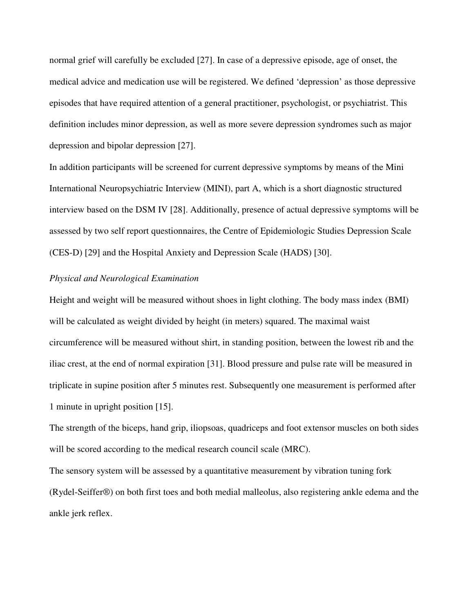normal grief will carefully be excluded [27]. In case of a depressive episode, age of onset, the medical advice and medication use will be registered. We defined 'depression' as those depressive episodes that have required attention of a general practitioner, psychologist, or psychiatrist. This definition includes minor depression, as well as more severe depression syndromes such as major depression and bipolar depression [27].

In addition participants will be screened for current depressive symptoms by means of the Mini International Neuropsychiatric Interview (MINI), part A, which is a short diagnostic structured interview based on the DSM IV [28]. Additionally, presence of actual depressive symptoms will be assessed by two self report questionnaires, the Centre of Epidemiologic Studies Depression Scale (CES-D) [29] and the Hospital Anxiety and Depression Scale (HADS) [30].

#### *Physical and Neurological Examination*

Height and weight will be measured without shoes in light clothing. The body mass index (BMI) will be calculated as weight divided by height (in meters) squared. The maximal waist circumference will be measured without shirt, in standing position, between the lowest rib and the iliac crest, at the end of normal expiration [31]. Blood pressure and pulse rate will be measured in triplicate in supine position after 5 minutes rest. Subsequently one measurement is performed after 1 minute in upright position [15].

The strength of the biceps, hand grip, iliopsoas, quadriceps and foot extensor muscles on both sides will be scored according to the medical research council scale (MRC).

The sensory system will be assessed by a quantitative measurement by vibration tuning fork (Rydel-Seiffer®) on both first toes and both medial malleolus, also registering ankle edema and the ankle jerk reflex.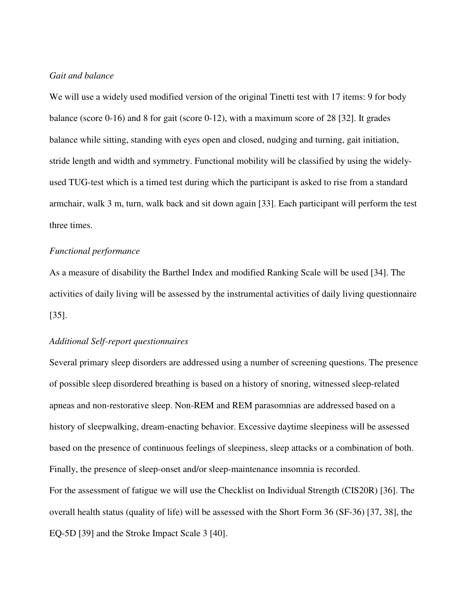#### *Gait and balance*

We will use a widely used modified version of the original Tinetti test with 17 items: 9 for body balance (score 0-16) and 8 for gait (score 0-12), with a maximum score of 28 [32]. It grades balance while sitting, standing with eyes open and closed, nudging and turning, gait initiation, stride length and width and symmetry. Functional mobility will be classified by using the widelyused TUG-test which is a timed test during which the participant is asked to rise from a standard armchair, walk 3 m, turn, walk back and sit down again [33]. Each participant will perform the test three times.

#### *Functional performance*

As a measure of disability the Barthel Index and modified Ranking Scale will be used [34]. The activities of daily living will be assessed by the instrumental activities of daily living questionnaire [35].

#### *Additional Self-report questionnaires*

Several primary sleep disorders are addressed using a number of screening questions. The presence of possible sleep disordered breathing is based on a history of snoring, witnessed sleep-related apneas and non-restorative sleep. Non-REM and REM parasomnias are addressed based on a history of sleepwalking, dream-enacting behavior. Excessive daytime sleepiness will be assessed based on the presence of continuous feelings of sleepiness, sleep attacks or a combination of both. Finally, the presence of sleep-onset and/or sleep-maintenance insomnia is recorded. For the assessment of fatigue we will use the Checklist on Individual Strength (CIS20R) [36]. The overall health status (quality of life) will be assessed with the Short Form 36 (SF-36) [37, 38], the EQ-5D [39] and the Stroke Impact Scale 3 [40].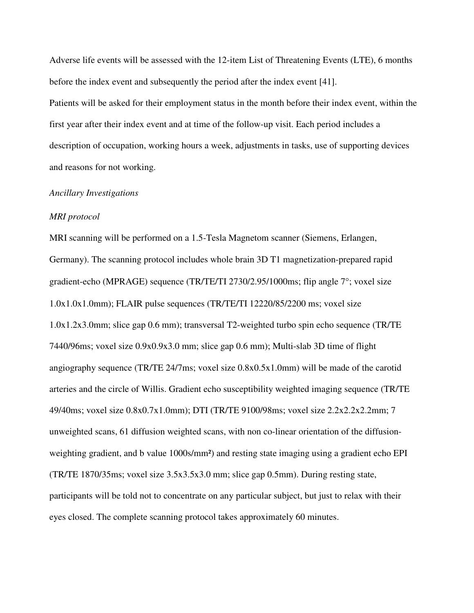Adverse life events will be assessed with the 12-item List of Threatening Events (LTE), 6 months before the index event and subsequently the period after the index event [41].

Patients will be asked for their employment status in the month before their index event, within the first year after their index event and at time of the follow-up visit. Each period includes a description of occupation, working hours a week, adjustments in tasks, use of supporting devices and reasons for not working.

#### *Ancillary Investigations*

#### *MRI protocol*

MRI scanning will be performed on a 1.5-Tesla Magnetom scanner (Siemens, Erlangen, Germany). The scanning protocol includes whole brain 3D T1 magnetization-prepared rapid gradient-echo (MPRAGE) sequence (TR/TE/TI 2730/2.95/1000ms; flip angle 7°; voxel size 1.0x1.0x1.0mm); FLAIR pulse sequences (TR/TE/TI 12220/85/2200 ms; voxel size 1.0x1.2x3.0mm; slice gap 0.6 mm); transversal T2-weighted turbo spin echo sequence (TR/TE 7440/96ms; voxel size 0.9x0.9x3.0 mm; slice gap 0.6 mm); Multi-slab 3D time of flight angiography sequence (TR/TE 24/7ms; voxel size 0.8x0.5x1.0mm) will be made of the carotid arteries and the circle of Willis. Gradient echo susceptibility weighted imaging sequence (TR/TE 49/40ms; voxel size 0.8x0.7x1.0mm); DTI (TR/TE 9100/98ms; voxel size 2.2x2.2x2.2mm; 7 unweighted scans, 61 diffusion weighted scans, with non co-linear orientation of the diffusionweighting gradient, and b value 1000s/mm²) and resting state imaging using a gradient echo EPI (TR/TE 1870/35ms; voxel size 3.5x3.5x3.0 mm; slice gap 0.5mm). During resting state, participants will be told not to concentrate on any particular subject, but just to relax with their eyes closed. The complete scanning protocol takes approximately 60 minutes.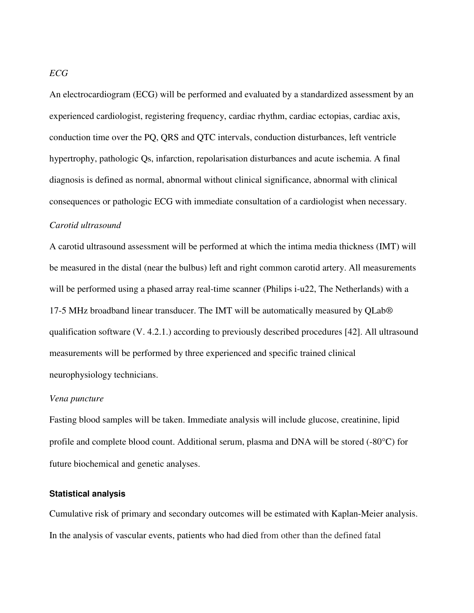An electrocardiogram (ECG) will be performed and evaluated by a standardized assessment by an experienced cardiologist, registering frequency, cardiac rhythm, cardiac ectopias, cardiac axis, conduction time over the PQ, QRS and QTC intervals, conduction disturbances, left ventricle hypertrophy, pathologic Qs, infarction, repolarisation disturbances and acute ischemia. A final diagnosis is defined as normal, abnormal without clinical significance, abnormal with clinical consequences or pathologic ECG with immediate consultation of a cardiologist when necessary.

#### *Carotid ultrasound*

A carotid ultrasound assessment will be performed at which the intima media thickness (IMT) will be measured in the distal (near the bulbus) left and right common carotid artery. All measurements will be performed using a phased array real-time scanner (Philips i-u22, The Netherlands) with a 17-5 MHz broadband linear transducer. The IMT will be automatically measured by QLab® qualification software (V. 4.2.1.) according to previously described procedures [42]. All ultrasound measurements will be performed by three experienced and specific trained clinical neurophysiology technicians.

#### *Vena puncture*

Fasting blood samples will be taken. Immediate analysis will include glucose, creatinine, lipid profile and complete blood count. Additional serum, plasma and DNA will be stored (-80°C) for future biochemical and genetic analyses.

#### **Statistical analysis**

Cumulative risk of primary and secondary outcomes will be estimated with Kaplan-Meier analysis. In the analysis of vascular events, patients who had died from other than the defined fatal

#### *ECG*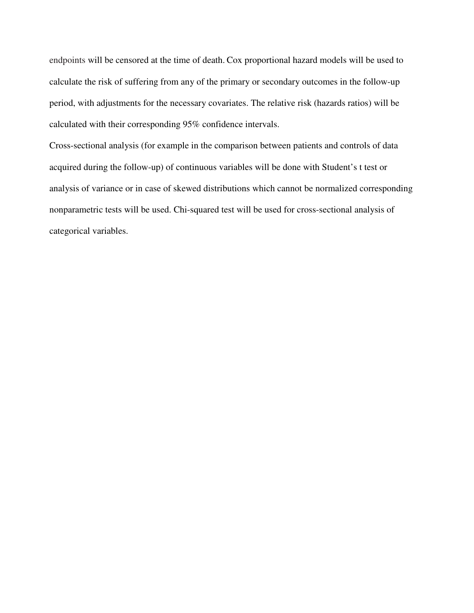endpoints will be censored at the time of death. Cox proportional hazard models will be used to calculate the risk of suffering from any of the primary or secondary outcomes in the follow-up period, with adjustments for the necessary covariates. The relative risk (hazards ratios) will be calculated with their corresponding 95% confidence intervals.

Cross-sectional analysis (for example in the comparison between patients and controls of data acquired during the follow-up) of continuous variables will be done with Student's t test or analysis of variance or in case of skewed distributions which cannot be normalized corresponding nonparametric tests will be used. Chi-squared test will be used for cross-sectional analysis of categorical variables.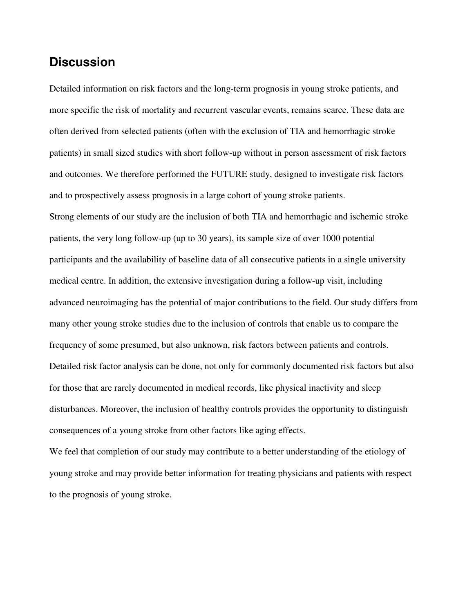# **Discussion**

Detailed information on risk factors and the long-term prognosis in young stroke patients, and more specific the risk of mortality and recurrent vascular events, remains scarce. These data are often derived from selected patients (often with the exclusion of TIA and hemorrhagic stroke patients) in small sized studies with short follow-up without in person assessment of risk factors and outcomes. We therefore performed the FUTURE study, designed to investigate risk factors and to prospectively assess prognosis in a large cohort of young stroke patients. Strong elements of our study are the inclusion of both TIA and hemorrhagic and ischemic stroke patients, the very long follow-up (up to 30 years), its sample size of over 1000 potential participants and the availability of baseline data of all consecutive patients in a single university medical centre. In addition, the extensive investigation during a follow-up visit, including advanced neuroimaging has the potential of major contributions to the field. Our study differs from many other young stroke studies due to the inclusion of controls that enable us to compare the frequency of some presumed, but also unknown, risk factors between patients and controls. Detailed risk factor analysis can be done, not only for commonly documented risk factors but also for those that are rarely documented in medical records, like physical inactivity and sleep disturbances. Moreover, the inclusion of healthy controls provides the opportunity to distinguish consequences of a young stroke from other factors like aging effects.

We feel that completion of our study may contribute to a better understanding of the etiology of young stroke and may provide better information for treating physicians and patients with respect to the prognosis of young stroke.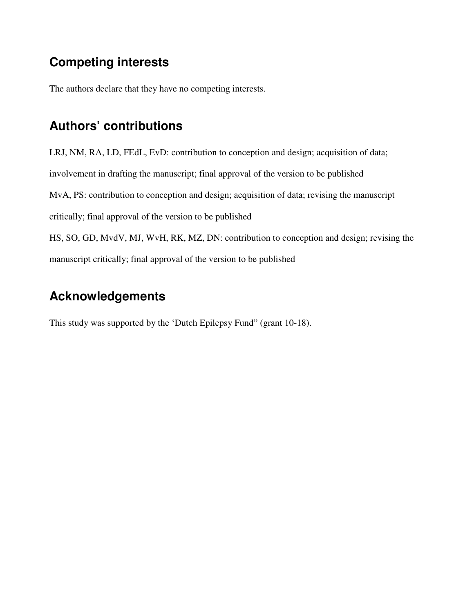# **Competing interests**

The authors declare that they have no competing interests.

# **Authors' contributions**

LRJ, NM, RA, LD, FEdL, EvD: contribution to conception and design; acquisition of data; involvement in drafting the manuscript; final approval of the version to be published MvA, PS: contribution to conception and design; acquisition of data; revising the manuscript critically; final approval of the version to be published HS, SO, GD, MvdV, MJ, WvH, RK, MZ, DN: contribution to conception and design; revising the manuscript critically; final approval of the version to be published

# **Acknowledgements**

This study was supported by the 'Dutch Epilepsy Fund" (grant 10-18).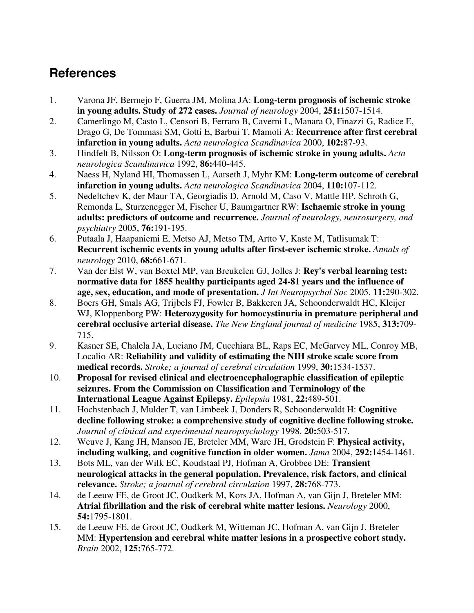# **References**

- 1. Varona JF, Bermejo F, Guerra JM, Molina JA: **Long-term prognosis of ischemic stroke in young adults. Study of 272 cases.** *Journal of neurology* 2004, **251:**1507-1514.
- 2. Camerlingo M, Casto L, Censori B, Ferraro B, Caverni L, Manara O, Finazzi G, Radice E, Drago G, De Tommasi SM, Gotti E, Barbui T, Mamoli A: **Recurrence after first cerebral infarction in young adults.** *Acta neurologica Scandinavica* 2000, **102:**87-93.
- 3. Hindfelt B, Nilsson O: **Long-term prognosis of ischemic stroke in young adults.** *Acta neurologica Scandinavica* 1992, **86:**440-445.
- 4. Naess H, Nyland HI, Thomassen L, Aarseth J, Myhr KM: **Long-term outcome of cerebral infarction in young adults.** *Acta neurologica Scandinavica* 2004, **110:**107-112.
- 5. Nedeltchev K, der Maur TA, Georgiadis D, Arnold M, Caso V, Mattle HP, Schroth G, Remonda L, Sturzenegger M, Fischer U, Baumgartner RW: **Ischaemic stroke in young adults: predictors of outcome and recurrence.** *Journal of neurology, neurosurgery, and psychiatry* 2005, **76:**191-195.
- 6. Putaala J, Haapaniemi E, Metso AJ, Metso TM, Artto V, Kaste M, Tatlisumak T: **Recurrent ischemic events in young adults after first-ever ischemic stroke.** *Annals of neurology* 2010, **68:**661-671.
- 7. Van der Elst W, van Boxtel MP, van Breukelen GJ, Jolles J: **Rey's verbal learning test: normative data for 1855 healthy participants aged 24-81 years and the influence of age, sex, education, and mode of presentation.** *J Int Neuropsychol Soc* 2005, **11:**290-302.
- 8. Boers GH, Smals AG, Trijbels FJ, Fowler B, Bakkeren JA, Schoonderwaldt HC, Kleijer WJ, Kloppenborg PW: **Heterozygosity for homocystinuria in premature peripheral and cerebral occlusive arterial disease.** *The New England journal of medicine* 1985, **313:**709- 715.
- 9. Kasner SE, Chalela JA, Luciano JM, Cucchiara BL, Raps EC, McGarvey ML, Conroy MB, Localio AR: **Reliability and validity of estimating the NIH stroke scale score from medical records.** *Stroke; a journal of cerebral circulation* 1999, **30:**1534-1537.
- 10. **Proposal for revised clinical and electroencephalographic classification of epileptic seizures. From the Commission on Classification and Terminology of the International League Against Epilepsy.** *Epilepsia* 1981, **22:**489-501.
- 11. Hochstenbach J, Mulder T, van Limbeek J, Donders R, Schoonderwaldt H: **Cognitive decline following stroke: a comprehensive study of cognitive decline following stroke.** *Journal of clinical and experimental neuropsychology* 1998, **20:**503-517.
- 12. Weuve J, Kang JH, Manson JE, Breteler MM, Ware JH, Grodstein F: **Physical activity, including walking, and cognitive function in older women.** *Jama* 2004, **292:**1454-1461.
- 13. Bots ML, van der Wilk EC, Koudstaal PJ, Hofman A, Grobbee DE: **Transient neurological attacks in the general population. Prevalence, risk factors, and clinical relevance.** *Stroke; a journal of cerebral circulation* 1997, **28:**768-773.
- 14. de Leeuw FE, de Groot JC, Oudkerk M, Kors JA, Hofman A, van Gijn J, Breteler MM: **Atrial fibrillation and the risk of cerebral white matter lesions.** *Neurology* 2000, **54:**1795-1801.
- 15. de Leeuw FE, de Groot JC, Oudkerk M, Witteman JC, Hofman A, van Gijn J, Breteler MM: **Hypertension and cerebral white matter lesions in a prospective cohort study.** *Brain* 2002, **125:**765-772.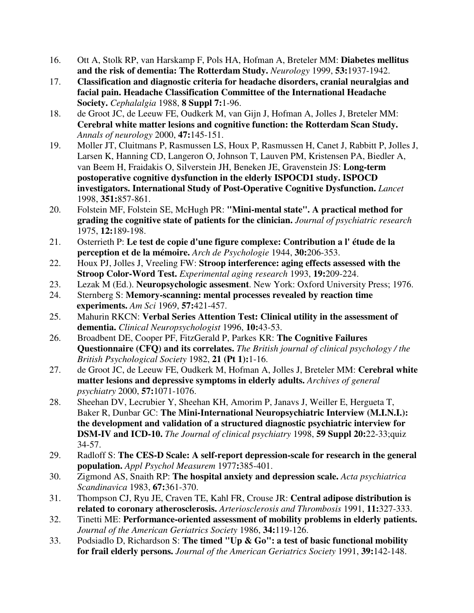- 16. Ott A, Stolk RP, van Harskamp F, Pols HA, Hofman A, Breteler MM: **Diabetes mellitus and the risk of dementia: The Rotterdam Study.** *Neurology* 1999, **53:**1937-1942.
- 17. **Classification and diagnostic criteria for headache disorders, cranial neuralgias and facial pain. Headache Classification Committee of the International Headache Society.** *Cephalalgia* 1988, **8 Suppl 7:**1-96.
- 18. de Groot JC, de Leeuw FE, Oudkerk M, van Gijn J, Hofman A, Jolles J, Breteler MM: **Cerebral white matter lesions and cognitive function: the Rotterdam Scan Study.** *Annals of neurology* 2000, **47:**145-151.
- 19. Moller JT, Cluitmans P, Rasmussen LS, Houx P, Rasmussen H, Canet J, Rabbitt P, Jolles J, Larsen K, Hanning CD, Langeron O, Johnson T, Lauven PM, Kristensen PA, Biedler A, van Beem H, Fraidakis O, Silverstein JH, Beneken JE, Gravenstein JS: **Long-term postoperative cognitive dysfunction in the elderly ISPOCD1 study. ISPOCD investigators. International Study of Post-Operative Cognitive Dysfunction.** *Lancet*  1998, **351:**857-861.
- 20. Folstein MF, Folstein SE, McHugh PR: **"Mini-mental state". A practical method for grading the cognitive state of patients for the clinician.** *Journal of psychiatric research*  1975, **12:**189-198.
- 21. Osterrieth P: **Le test de copie d'une figure complexe: Contribution a l' étude de la perception et de la mémoire.** *Arch de Psychologie* 1944, **30:**206-353.
- 22. Houx PJ, Jolles J, Vreeling FW: **Stroop interference: aging effects assessed with the Stroop Color-Word Test.** *Experimental aging research* 1993, **19:**209-224.
- 23. Lezak M (Ed.). **Neuropsychologic assesment**. New York: Oxford University Press; 1976.
- 24. Sternberg S: **Memory-scanning: mental processes revealed by reaction time experiments.** *Am Sci* 1969, **57:**421-457.
- 25. Mahurin RKCN: **Verbal Series Attention Test: Clinical utility in the assessment of dementia.** *Clinical Neuropsychologist* 1996, **10:**43-53.
- 26. Broadbent DE, Cooper PF, FitzGerald P, Parkes KR: **The Cognitive Failures Questionnaire (CFQ) and its correlates.** *The British journal of clinical psychology / the British Psychological Society* 1982, **21 (Pt 1):**1-16.
- 27. de Groot JC, de Leeuw FE, Oudkerk M, Hofman A, Jolles J, Breteler MM: **Cerebral white matter lesions and depressive symptoms in elderly adults.** *Archives of general psychiatry* 2000, **57:**1071-1076.
- 28. Sheehan DV, Lecrubier Y, Sheehan KH, Amorim P, Janavs J, Weiller E, Hergueta T, Baker R, Dunbar GC: **The Mini-International Neuropsychiatric Interview (M.I.N.I.): the development and validation of a structured diagnostic psychiatric interview for DSM-IV and ICD-10.** *The Journal of clinical psychiatry* 1998, **59 Suppl 20:**22-33;quiz 34-57.
- 29. Radloff S: **The CES-D Scale: A self-report depression-scale for research in the general population.** *Appl Psychol Measurem* 1977**:**385-401.
- 30. Zigmond AS, Snaith RP: **The hospital anxiety and depression scale.** *Acta psychiatrica Scandinavica* 1983, **67:**361-370.
- 31. Thompson CJ, Ryu JE, Craven TE, Kahl FR, Crouse JR: **Central adipose distribution is related to coronary atherosclerosis.** *Arteriosclerosis and Thrombosis* 1991, **11:**327-333.
- 32. Tinetti ME: **Performance-oriented assessment of mobility problems in elderly patients.** *Journal of the American Geriatrics Society* 1986, **34:**119-126.
- 33. Podsiadlo D, Richardson S: **The timed "Up & Go": a test of basic functional mobility for frail elderly persons.** *Journal of the American Geriatrics Society* 1991, **39:**142-148.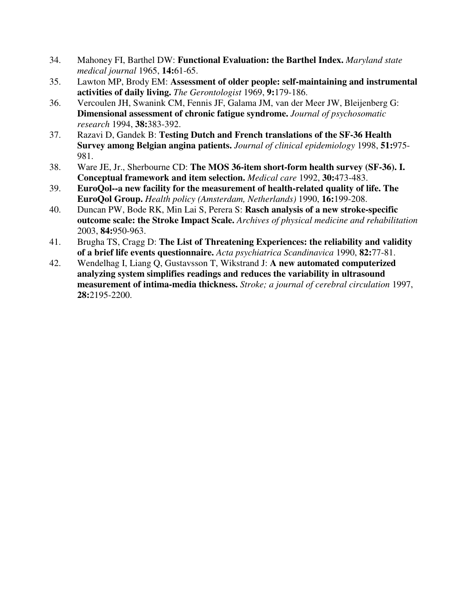- 34. Mahoney FI, Barthel DW: **Functional Evaluation: the Barthel Index.** *Maryland state medical journal* 1965, **14:**61-65.
- 35. Lawton MP, Brody EM: **Assessment of older people: self-maintaining and instrumental activities of daily living.** *The Gerontologist* 1969, **9:**179-186.
- 36. Vercoulen JH, Swanink CM, Fennis JF, Galama JM, van der Meer JW, Bleijenberg G: **Dimensional assessment of chronic fatigue syndrome.** *Journal of psychosomatic research* 1994, **38:**383-392.
- 37. Razavi D, Gandek B: **Testing Dutch and French translations of the SF-36 Health Survey among Belgian angina patients.** *Journal of clinical epidemiology* 1998, **51:**975- 981.
- 38. Ware JE, Jr., Sherbourne CD: **The MOS 36-item short-form health survey (SF-36). I. Conceptual framework and item selection.** *Medical care* 1992, **30:**473-483.
- 39. **EuroQol--a new facility for the measurement of health-related quality of life. The EuroQol Group.** *Health policy (Amsterdam, Netherlands)* 1990, **16:**199-208.
- 40. Duncan PW, Bode RK, Min Lai S, Perera S: **Rasch analysis of a new stroke-specific outcome scale: the Stroke Impact Scale.** *Archives of physical medicine and rehabilitation*  2003, **84:**950-963.
- 41. Brugha TS, Cragg D: **The List of Threatening Experiences: the reliability and validity of a brief life events questionnaire.** *Acta psychiatrica Scandinavica* 1990, **82:**77-81.
- 42. Wendelhag I, Liang Q, Gustavsson T, Wikstrand J: **A new automated computerized analyzing system simplifies readings and reduces the variability in ultrasound measurement of intima-media thickness.** *Stroke; a journal of cerebral circulation* 1997, **28:**2195-2200.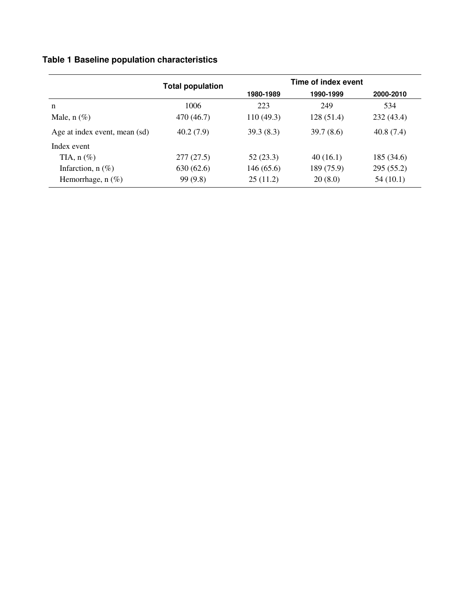### **Table 1 Baseline population characteristics**

|                               | <b>Total population</b> | Time of index event |            |            |
|-------------------------------|-------------------------|---------------------|------------|------------|
|                               |                         | 1980-1989           | 1990-1999  | 2000-2010  |
| n                             | 1006                    | 223                 | 249        | 534        |
| Male, $n$ $(\%)$              | 470 (46.7)              | 110(49.3)           | 128(51.4)  | 232(43.4)  |
| Age at index event, mean (sd) | 40.2(7.9)               | 39.3(8.3)           | 39.7(8.6)  | 40.8(7.4)  |
| Index event                   |                         |                     |            |            |
| TIA, $n$ $(\%)$               | 277(27.5)               | 52(23.3)            | 40(16.1)   | 185 (34.6) |
| Infarction, $n$ (%)           | 630(62.6)               | 146 (65.6)          | 189 (75.9) | 295(55.2)  |
| Hemorrhage, $n$ (%)           | 99(9.8)                 | 25(11.2)            | 20(8.0)    | 54(10.1)   |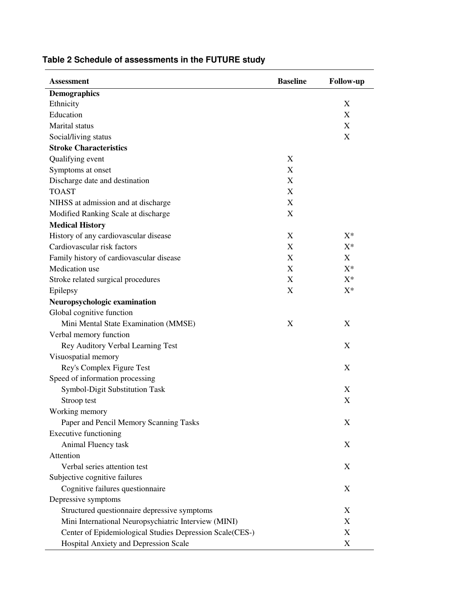| <b>Assessment</b>                                        | <b>Baseline</b>  | <b>Follow-up</b> |
|----------------------------------------------------------|------------------|------------------|
| <b>Demographics</b>                                      |                  |                  |
| Ethnicity                                                |                  | X                |
| Education                                                |                  | X                |
| <b>Marital</b> status                                    |                  | X                |
| Social/living status                                     |                  | X                |
| <b>Stroke Characteristics</b>                            |                  |                  |
| Qualifying event                                         | X                |                  |
| Symptoms at onset                                        | $\boldsymbol{X}$ |                  |
| Discharge date and destination                           | X                |                  |
| <b>TOAST</b>                                             | $\boldsymbol{X}$ |                  |
| NIHSS at admission and at discharge                      | $\boldsymbol{X}$ |                  |
| Modified Ranking Scale at discharge                      | X                |                  |
| <b>Medical History</b>                                   |                  |                  |
| History of any cardiovascular disease                    | X                | $X^*$            |
| Cardiovascular risk factors                              | X                | $X^*$            |
| Family history of cardiovascular disease                 | $\boldsymbol{X}$ | X                |
| Medication use                                           | X                | $X^*$            |
| Stroke related surgical procedures                       | X                | $X^*$            |
| Epilepsy                                                 | X                | $X^*$            |
| Neuropsychologic examination                             |                  |                  |
| Global cognitive function                                |                  |                  |
| Mini Mental State Examination (MMSE)                     | X                | X                |
| Verbal memory function                                   |                  |                  |
| Rey Auditory Verbal Learning Test                        |                  | X                |
| Visuospatial memory                                      |                  |                  |
| Rey's Complex Figure Test                                |                  | X                |
| Speed of information processing                          |                  |                  |
| Symbol-Digit Substitution Task                           |                  | X                |
| Stroop test                                              |                  | X                |
| Working memory                                           |                  |                  |
| Paper and Pencil Memory Scanning Tasks                   |                  | X                |
| <b>Executive functioning</b>                             |                  |                  |
| Animal Fluency task                                      |                  | X                |
| Attention                                                |                  |                  |
| Verbal series attention test                             |                  | X                |
| Subjective cognitive failures                            |                  |                  |
| Cognitive failures questionnaire                         |                  | X                |
| Depressive symptoms                                      |                  |                  |
| Structured questionnaire depressive symptoms             |                  | X                |
| Mini International Neuropsychiatric Interview (MINI)     |                  | X                |
| Center of Epidemiological Studies Depression Scale(CES-) |                  | X                |
| Hospital Anxiety and Depression Scale                    |                  | X                |

### **Table 2 Schedule of assessments in the FUTURE study**